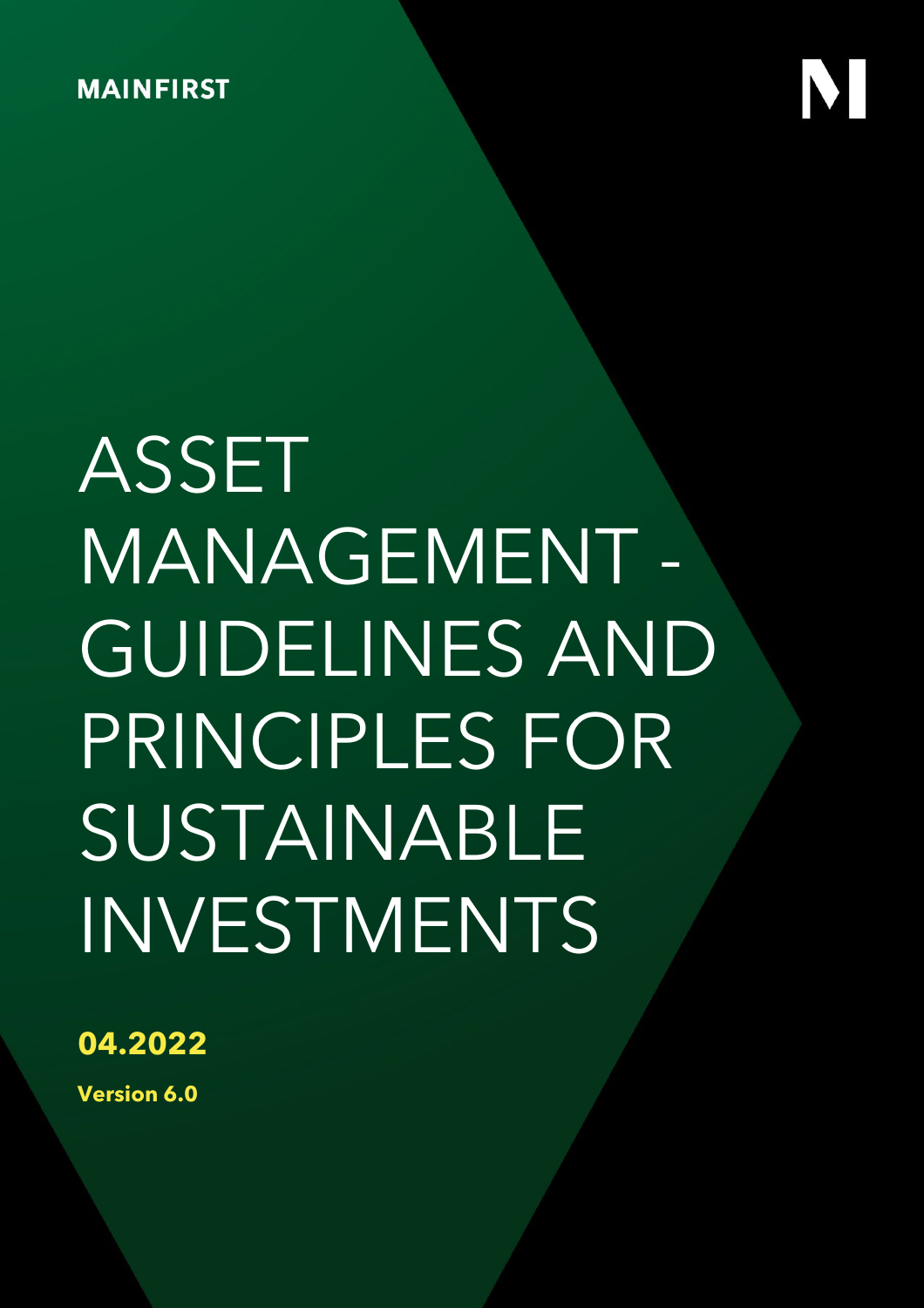# SUSTAINABLE ASSET MANAGEMENT - GUIDELINES AND PRINCIPLES FOR INVESTMENTS

**04.2022**

**Version 6.0**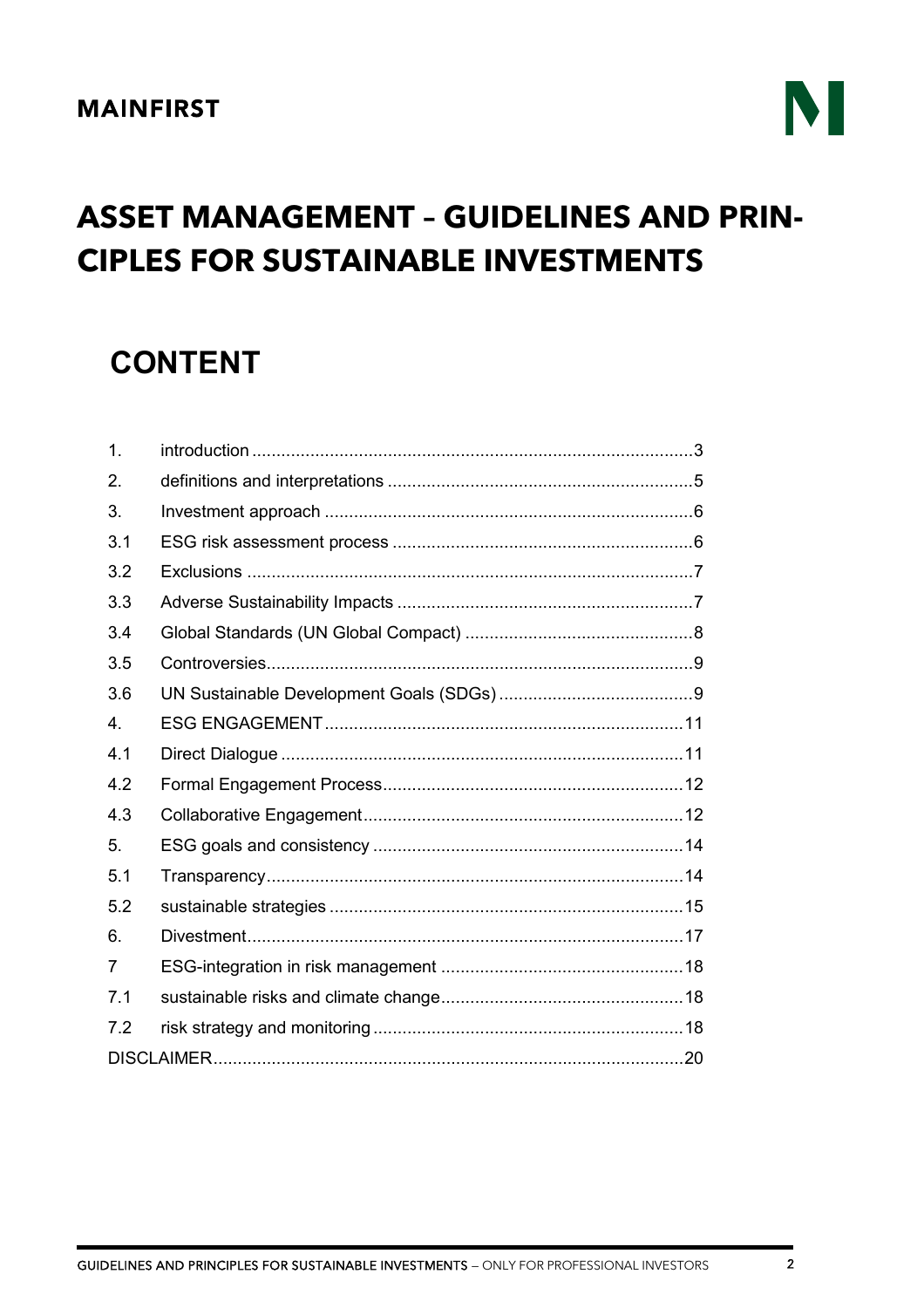## M

## **ASSET MANAGEMENT - GUIDELINES AND PRIN-CIPLES FOR SUSTAINABLE INVESTMENTS**

## **CONTENT**

| 1.  |  |  |  |  |
|-----|--|--|--|--|
| 2.  |  |  |  |  |
| 3.  |  |  |  |  |
| 3.1 |  |  |  |  |
| 3.2 |  |  |  |  |
| 3.3 |  |  |  |  |
| 3.4 |  |  |  |  |
| 3.5 |  |  |  |  |
| 3.6 |  |  |  |  |
| 4.  |  |  |  |  |
| 4.1 |  |  |  |  |
| 4.2 |  |  |  |  |
| 4.3 |  |  |  |  |
| 5.  |  |  |  |  |
| 5.1 |  |  |  |  |
| 5.2 |  |  |  |  |
| 6.  |  |  |  |  |
| 7   |  |  |  |  |
| 7.1 |  |  |  |  |
| 7.2 |  |  |  |  |
|     |  |  |  |  |
|     |  |  |  |  |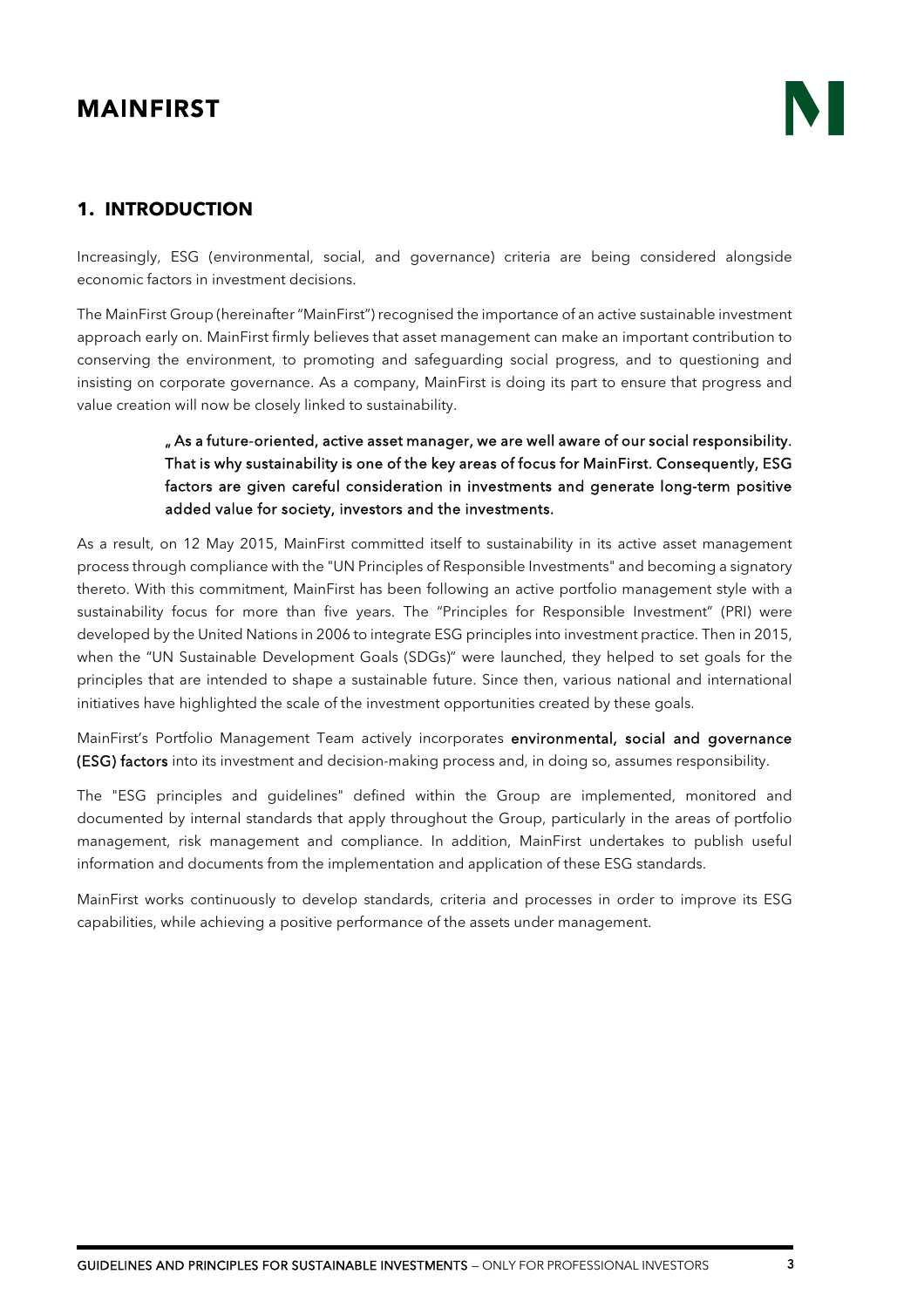### <span id="page-2-0"></span>**1. INTRODUCTION**

Increasingly, ESG (environmental, social, and governance) criteria are being considered alongside economic factors in investment decisions.

The MainFirst Group (hereinafter "MainFirst") recognised the importance of an active sustainable investment approach early on. MainFirst firmly believes that asset management can make an important contribution to conserving the environment, to promoting and safeguarding social progress, and to questioning and insisting on corporate governance. As a company, MainFirst is doing its part to ensure that progress and value creation will now be closely linked to sustainability.

#### " As a future-oriented, active asset manager, we are well aware of our social responsibility. That is why sustainability is one of the key areas of focus for MainFirst. Consequently, ESG factors are given careful consideration in investments and generate long-term positive added value for society, investors and the investments.

As a result, on 12 May 2015, MainFirst committed itself to sustainability in its active asset management process through compliance with the "UN Principles of Responsible Investments" and becoming a signatory thereto. With this commitment, MainFirst has been following an active portfolio management style with a sustainability focus for more than five years. The "Principles for Responsible Investment" (PRI) were developed by the United Nations in 2006 to integrate ESG principles into investment practice. Then in 2015, when the "UN Sustainable Development Goals (SDGs)" were launched, they helped to set goals for the principles that are intended to shape a sustainable future. Since then, various national and international initiatives have highlighted the scale of the investment opportunities created by these goals.

MainFirst's Portfolio Management Team actively incorporates environmental, social and governance (ESG) factors into its investment and decision-making process and, in doing so, assumes responsibility.

The "ESG principles and guidelines" defined within the Group are implemented, monitored and documented by internal standards that apply throughout the Group, particularly in the areas of portfolio management, risk management and compliance. In addition, MainFirst undertakes to publish useful information and documents from the implementation and application of these ESG standards.

MainFirst works continuously to develop standards, criteria and processes in order to improve its ESG capabilities, while achieving a positive performance of the assets under management.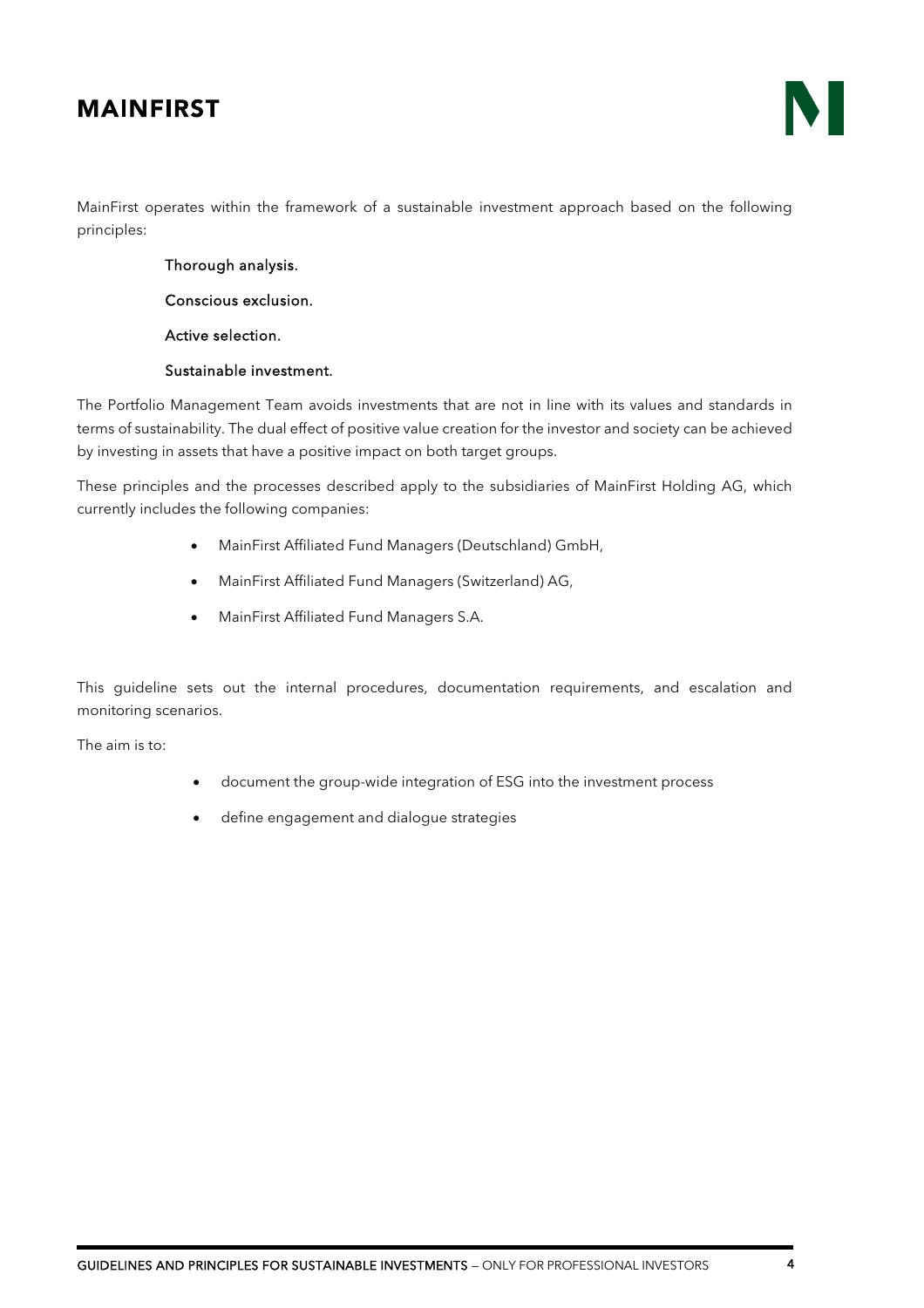

MainFirst operates within the framework of a sustainable investment approach based on the following principles:

Thorough analysis.

Conscious exclusion.

Active selection.

#### Sustainable investment.

The Portfolio Management Team avoids investments that are not in line with its values and standards in terms of sustainability. The dual effect of positive value creation for the investor and society can be achieved by investing in assets that have a positive impact on both target groups.

These principles and the processes described apply to the subsidiaries of MainFirst Holding AG, which currently includes the following companies:

- MainFirst Affiliated Fund Managers (Deutschland) GmbH,
- MainFirst Affiliated Fund Managers (Switzerland) AG,
- MainFirst Affiliated Fund Managers S.A.

This guideline sets out the internal procedures, documentation requirements, and escalation and monitoring scenarios.

The aim is to:

- document the group-wide integration of ESG into the investment process
- define engagement and dialogue strategies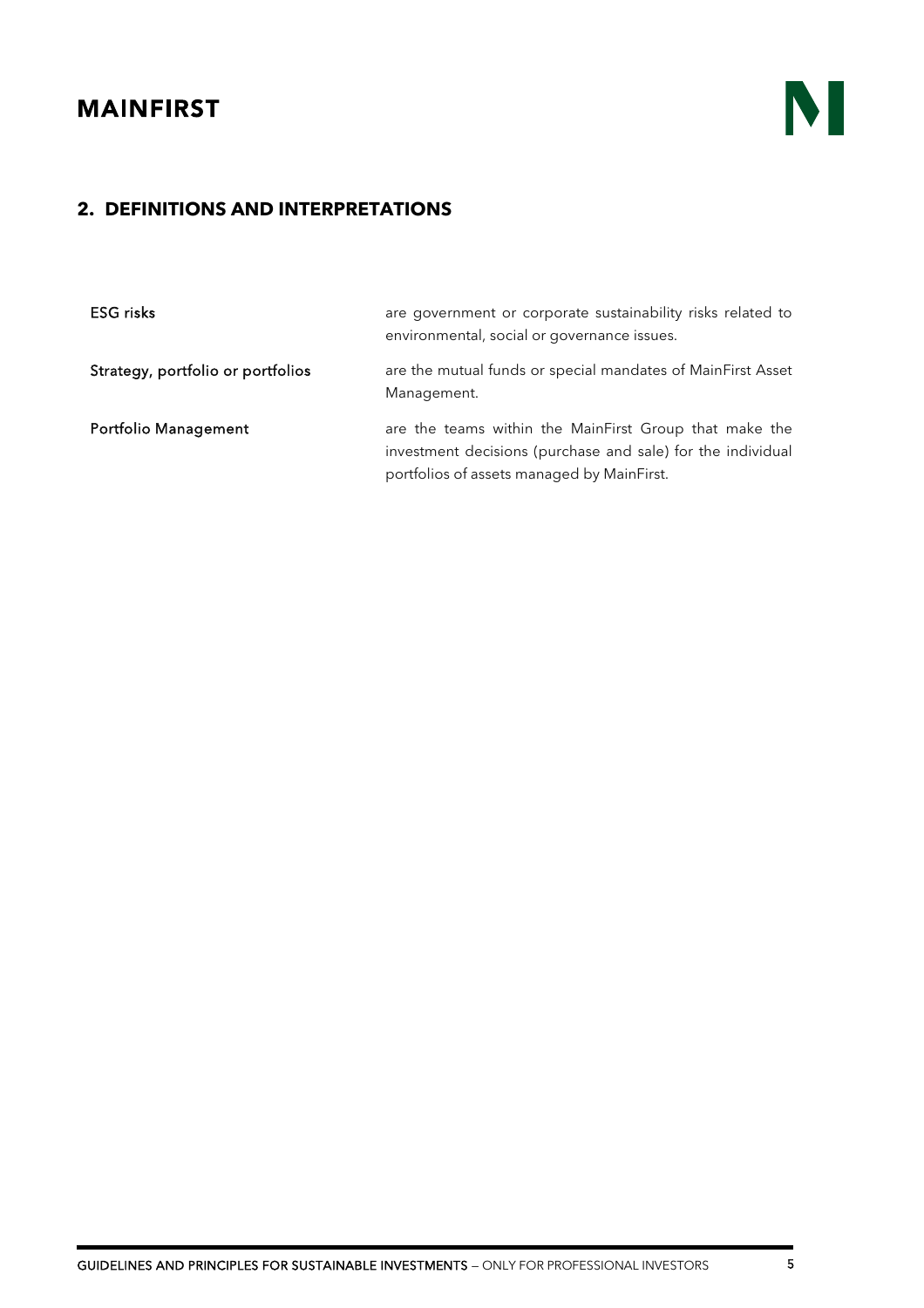

## <span id="page-4-0"></span>**2. DEFINITIONS AND INTERPRETATIONS**

| <b>ESG</b> risks                  | are government or corporate sustainability risks related to<br>environmental, social or governance issues.                                                          |
|-----------------------------------|---------------------------------------------------------------------------------------------------------------------------------------------------------------------|
| Strategy, portfolio or portfolios | are the mutual funds or special mandates of MainFirst Asset<br>Management.                                                                                          |
| <b>Portfolio Management</b>       | are the teams within the MainFirst Group that make the<br>investment decisions (purchase and sale) for the individual<br>portfolios of assets managed by MainFirst. |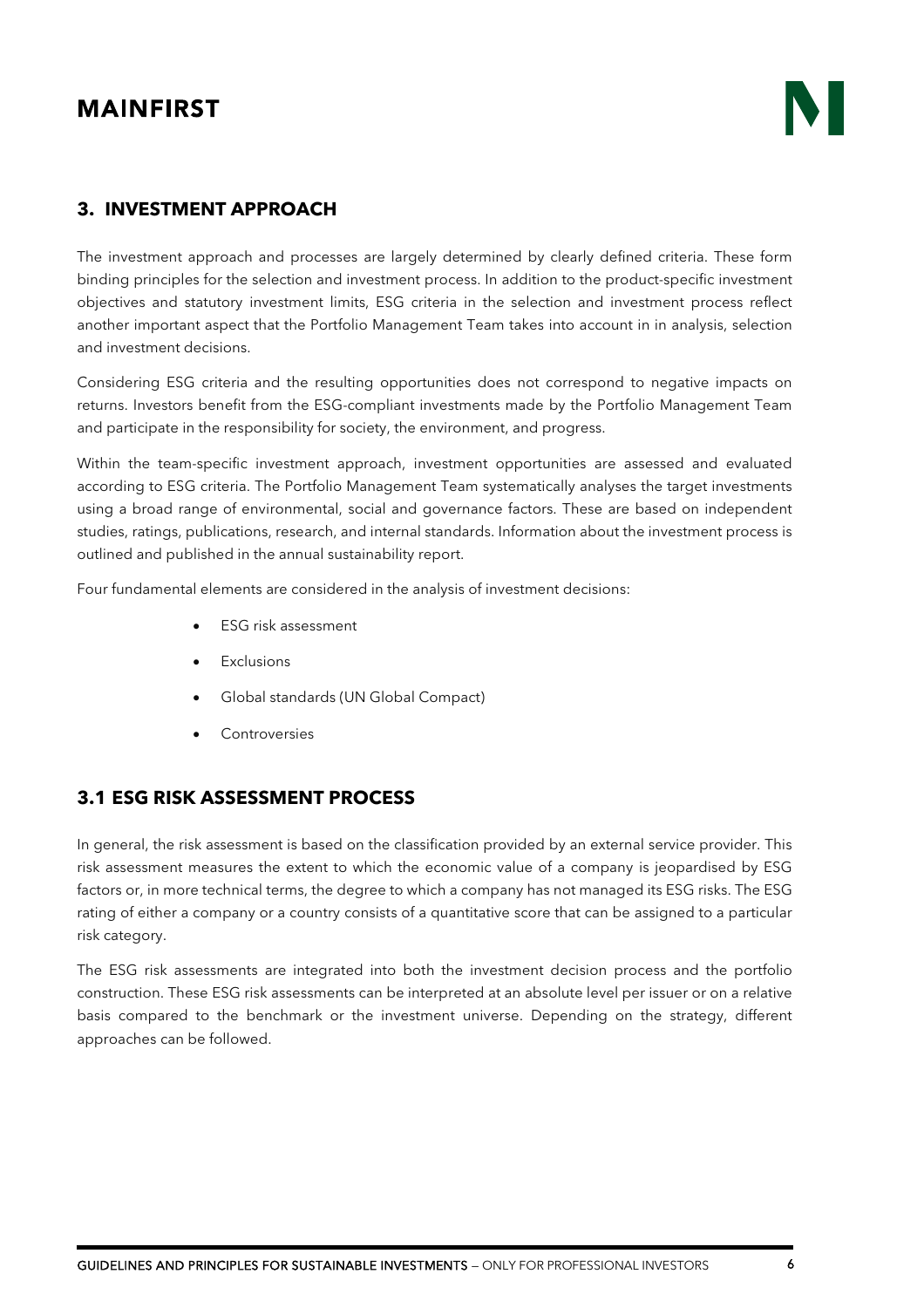### <span id="page-5-0"></span>**3. INVESTMENT APPROACH**

The investment approach and processes are largely determined by clearly defined criteria. These form binding principles for the selection and investment process. In addition to the product-specific investment objectives and statutory investment limits, ESG criteria in the selection and investment process reflect another important aspect that the Portfolio Management Team takes into account in in analysis, selection and investment decisions.

Considering ESG criteria and the resulting opportunities does not correspond to negative impacts on returns. Investors benefit from the ESG-compliant investments made by the Portfolio Management Team and participate in the responsibility for society, the environment, and progress.

Within the team-specific investment approach, investment opportunities are assessed and evaluated according to ESG criteria. The Portfolio Management Team systematically analyses the target investments using a broad range of environmental, social and governance factors. These are based on independent studies, ratings, publications, research, and internal standards. Information about the investment process is outlined and published in the annual sustainability report.

Four fundamental elements are considered in the analysis of investment decisions:

- ESG risk assessment
- Exclusions
- Global standards (UN Global Compact)
- **Controversies**

#### <span id="page-5-1"></span>**3.1 ESG RISK ASSESSMENT PROCESS**

In general, the risk assessment is based on the classification provided by an external service provider. This risk assessment measures the extent to which the economic value of a company is jeopardised by ESG factors or, in more technical terms, the degree to which a company has not managed its ESG risks. The ESG rating of either a company or a country consists of a quantitative score that can be assigned to a particular risk category.

The ESG risk assessments are integrated into both the investment decision process and the portfolio construction. These ESG risk assessments can be interpreted at an absolute level per issuer or on a relative basis compared to the benchmark or the investment universe. Depending on the strategy, different approaches can be followed.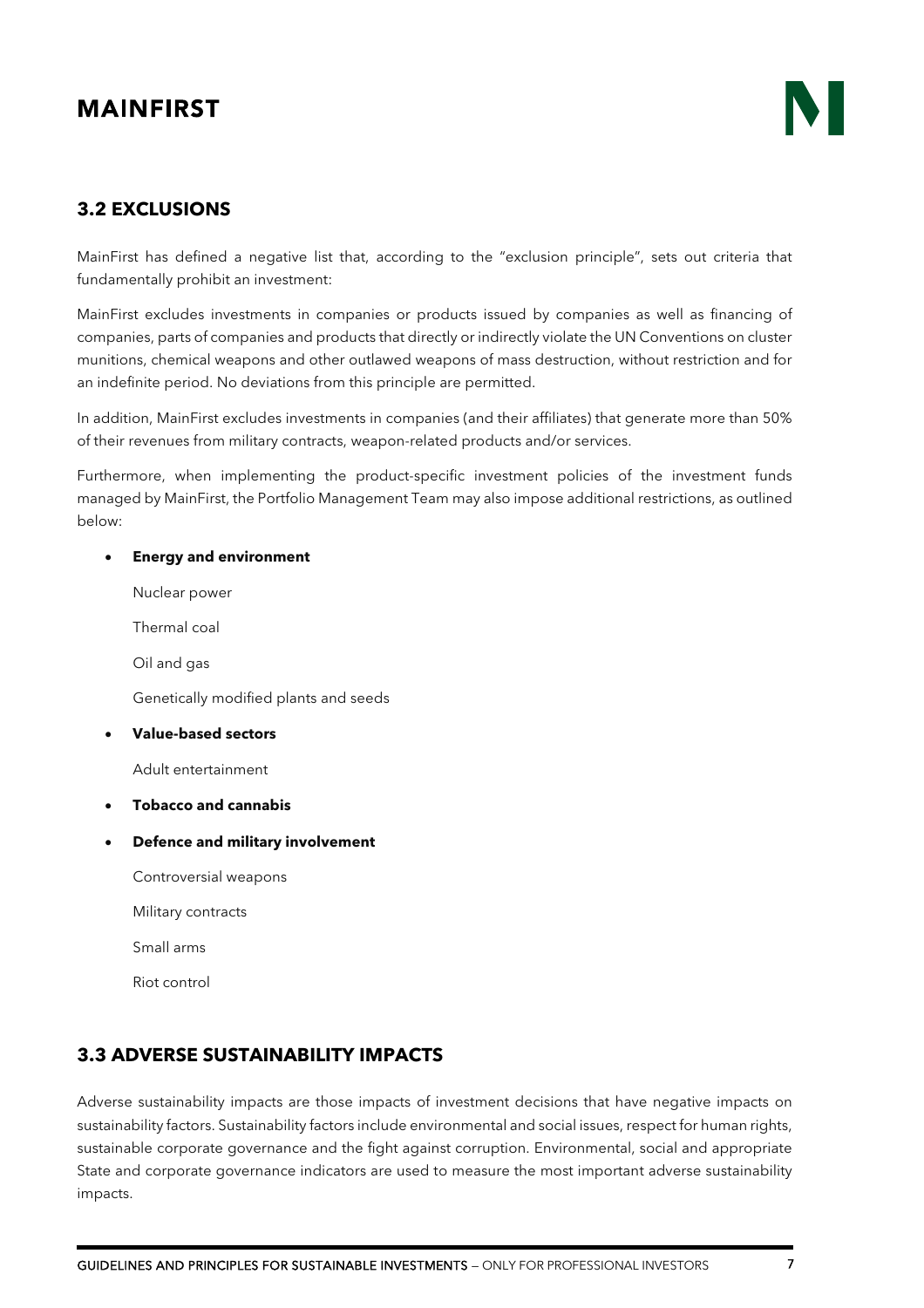#### <span id="page-6-0"></span>**3.2 EXCLUSIONS**

MainFirst has defined a negative list that, according to the "exclusion principle", sets out criteria that fundamentally prohibit an investment:

MainFirst excludes investments in companies or products issued by companies as well as financing of companies, parts of companies and products that directly or indirectly violate the UN Conventions on cluster munitions, chemical weapons and other outlawed weapons of mass destruction, without restriction and for an indefinite period. No deviations from this principle are permitted.

In addition, MainFirst excludes investments in companies (and their affiliates) that generate more than 50% of their revenues from military contracts, weapon-related products and/or services.

Furthermore, when implementing the product-specific investment policies of the investment funds managed by MainFirst, the Portfolio Management Team may also impose additional restrictions, as outlined below:

#### • **Energy and environment**

Nuclear power

Thermal coal

Oil and gas

Genetically modified plants and seeds

#### • **Value-based sectors**

Adult entertainment

- **Tobacco and cannabis**
- **Defence and military involvement**
	- Controversial weapons
	- Military contracts

Small arms

Riot control

#### <span id="page-6-1"></span>**3.3 ADVERSE SUSTAINABILITY IMPACTS**

Adverse sustainability impacts are those impacts of investment decisions that have negative impacts on sustainability factors. Sustainability factors include environmental and social issues, respect for human rights, sustainable corporate governance and the fight against corruption. Environmental, social and appropriate State and corporate governance indicators are used to measure the most important adverse sustainability impacts.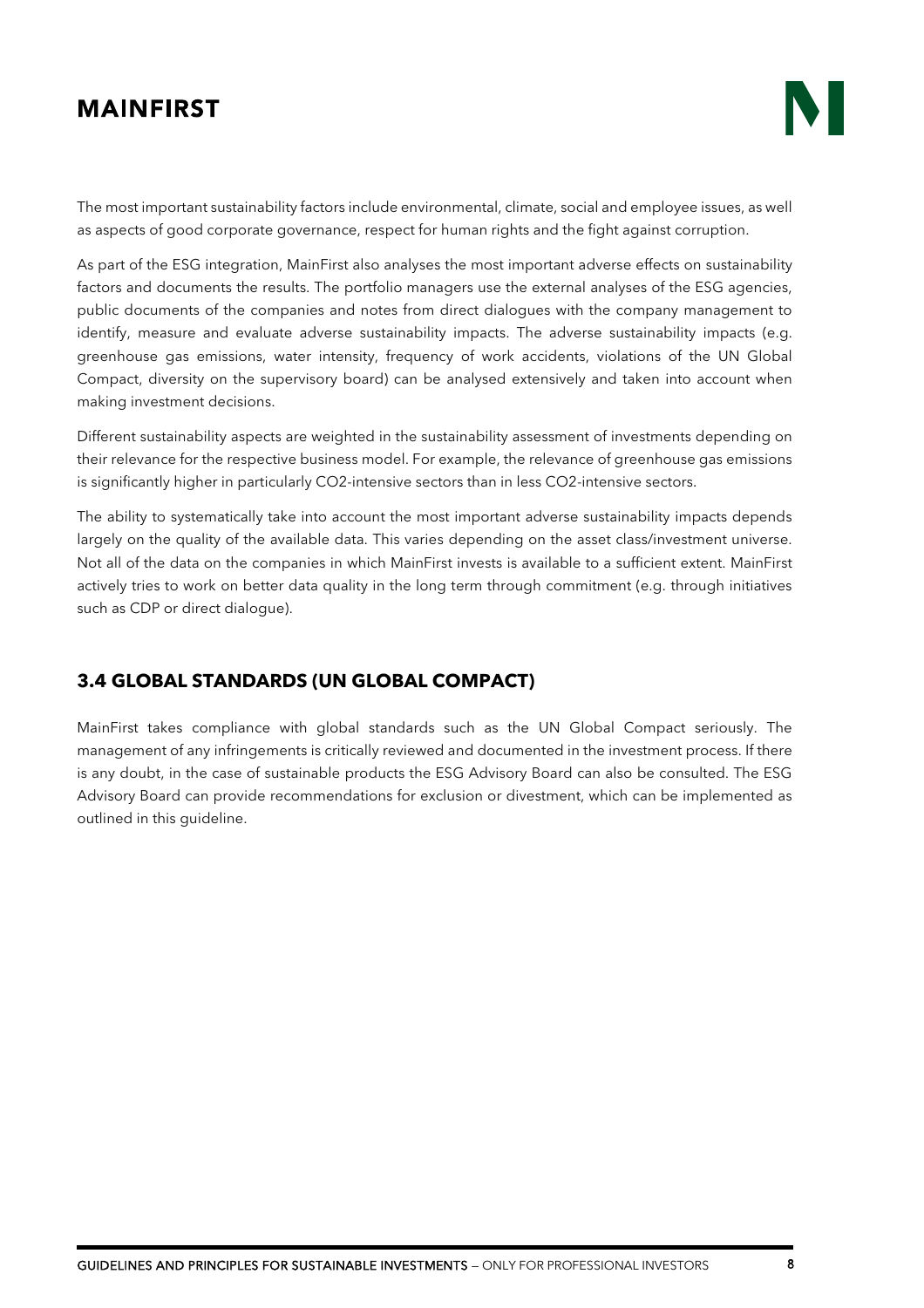The most important sustainability factors include environmental, climate, social and employee issues, as well as aspects of good corporate governance, respect for human rights and the fight against corruption.

As part of the ESG integration, MainFirst also analyses the most important adverse effects on sustainability factors and documents the results. The portfolio managers use the external analyses of the ESG agencies, public documents of the companies and notes from direct dialogues with the company management to identify, measure and evaluate adverse sustainability impacts. The adverse sustainability impacts (e.g. greenhouse gas emissions, water intensity, frequency of work accidents, violations of the UN Global Compact, diversity on the supervisory board) can be analysed extensively and taken into account when making investment decisions.

Different sustainability aspects are weighted in the sustainability assessment of investments depending on their relevance for the respective business model. For example, the relevance of greenhouse gas emissions is significantly higher in particularly CO2-intensive sectors than in less CO2-intensive sectors.

The ability to systematically take into account the most important adverse sustainability impacts depends largely on the quality of the available data. This varies depending on the asset class/investment universe. Not all of the data on the companies in which MainFirst invests is available to a sufficient extent. MainFirst actively tries to work on better data quality in the long term through commitment (e.g. through initiatives such as CDP or direct dialogue).

#### <span id="page-7-0"></span>**3.4 GLOBAL STANDARDS (UN GLOBAL COMPACT)**

MainFirst takes compliance with global standards such as the UN Global Compact seriously. The management of any infringements is critically reviewed and documented in the investment process. If there is any doubt, in the case of sustainable products the ESG Advisory Board can also be consulted. The ESG Advisory Board can provide recommendations for exclusion or divestment, which can be implemented as outlined in this guideline.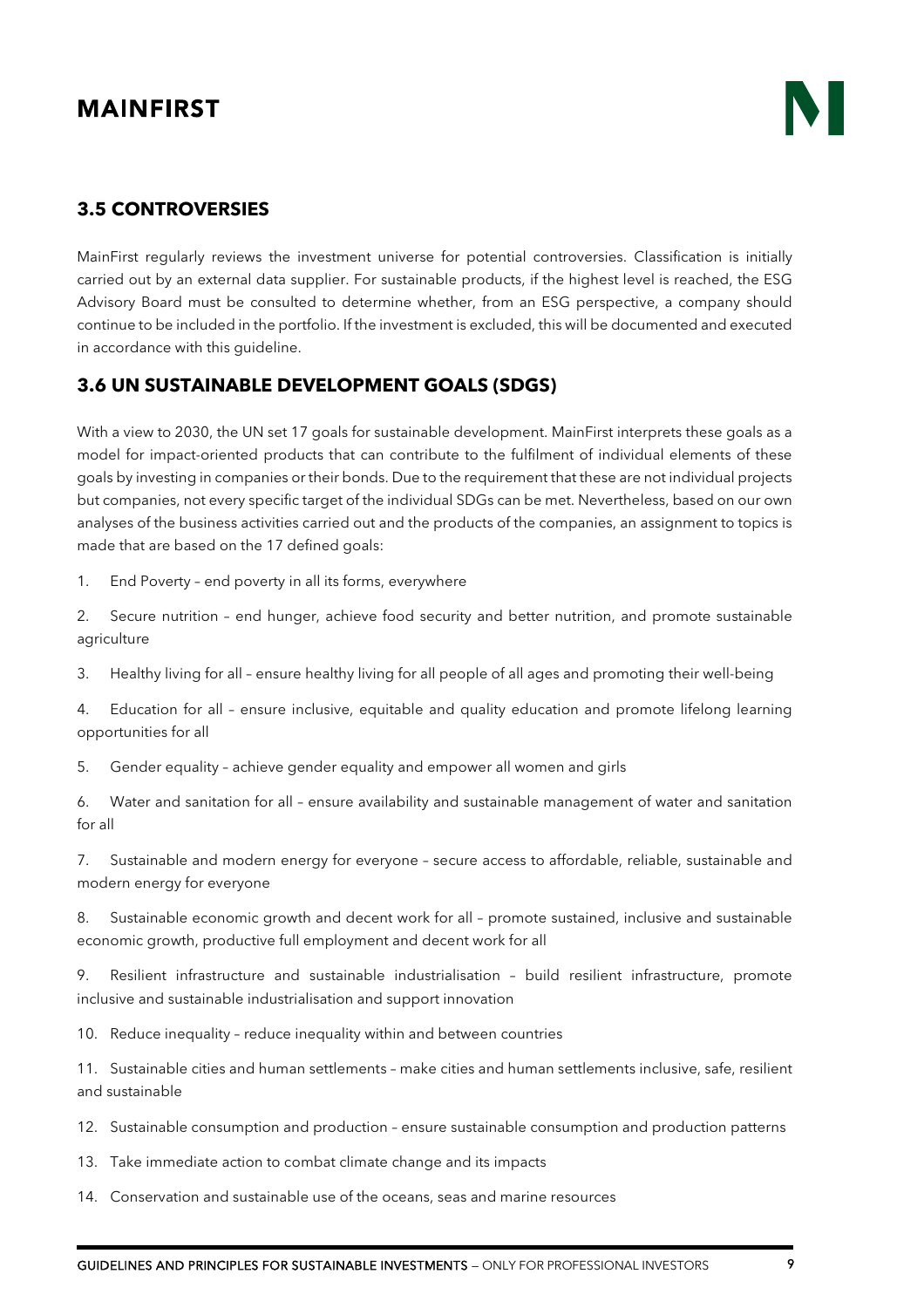#### <span id="page-8-0"></span>**3.5 CONTROVERSIES**

MainFirst regularly reviews the investment universe for potential controversies. Classification is initially carried out by an external data supplier. For sustainable products, if the highest level is reached, the ESG Advisory Board must be consulted to determine whether, from an ESG perspective, a company should continue to be included in the portfolio. If the investment is excluded, this will be documented and executed in accordance with this guideline.

#### <span id="page-8-1"></span>**3.6 UN SUSTAINABLE DEVELOPMENT GOALS (SDGS)**

With a view to 2030, the UN set 17 goals for sustainable development. MainFirst interprets these goals as a model for impact-oriented products that can contribute to the fulfilment of individual elements of these goals by investing in companies or their bonds. Due to the requirement that these are not individual projects but companies, not every specific target of the individual SDGs can be met. Nevertheless, based on our own analyses of the business activities carried out and the products of the companies, an assignment to topics is made that are based on the 17 defined goals:

1. End Poverty – end poverty in all its forms, everywhere

2. Secure nutrition – end hunger, achieve food security and better nutrition, and promote sustainable agriculture

3. Healthy living for all – ensure healthy living for all people of all ages and promoting their well-being

4. Education for all – ensure inclusive, equitable and quality education and promote lifelong learning opportunities for all

5. Gender equality – achieve gender equality and empower all women and girls

6. Water and sanitation for all – ensure availability and sustainable management of water and sanitation for all

7. Sustainable and modern energy for everyone – secure access to affordable, reliable, sustainable and modern energy for everyone

8. Sustainable economic growth and decent work for all – promote sustained, inclusive and sustainable economic growth, productive full employment and decent work for all

9. Resilient infrastructure and sustainable industrialisation – build resilient infrastructure, promote inclusive and sustainable industrialisation and support innovation

10. Reduce inequality – reduce inequality within and between countries

11. Sustainable cities and human settlements – make cities and human settlements inclusive, safe, resilient and sustainable

12. Sustainable consumption and production – ensure sustainable consumption and production patterns

13. Take immediate action to combat climate change and its impacts

14. Conservation and sustainable use of the oceans, seas and marine resources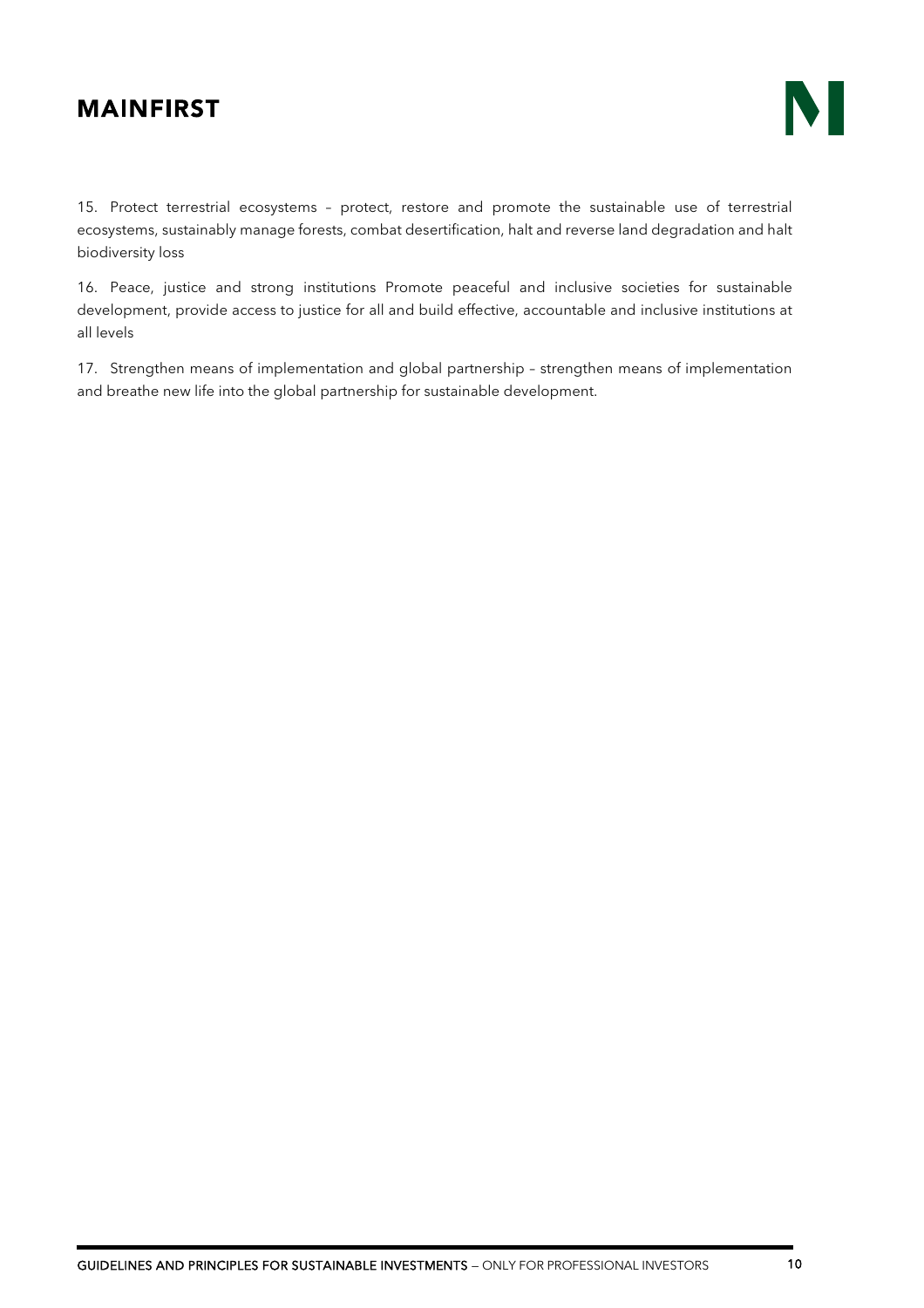15. Protect terrestrial ecosystems – protect, restore and promote the sustainable use of terrestrial ecosystems, sustainably manage forests, combat desertification, halt and reverse land degradation and halt biodiversity loss

16. Peace, justice and strong institutions Promote peaceful and inclusive societies for sustainable development, provide access to justice for all and build effective, accountable and inclusive institutions at all levels

17. Strengthen means of implementation and global partnership – strengthen means of implementation and breathe new life into the global partnership for sustainable development.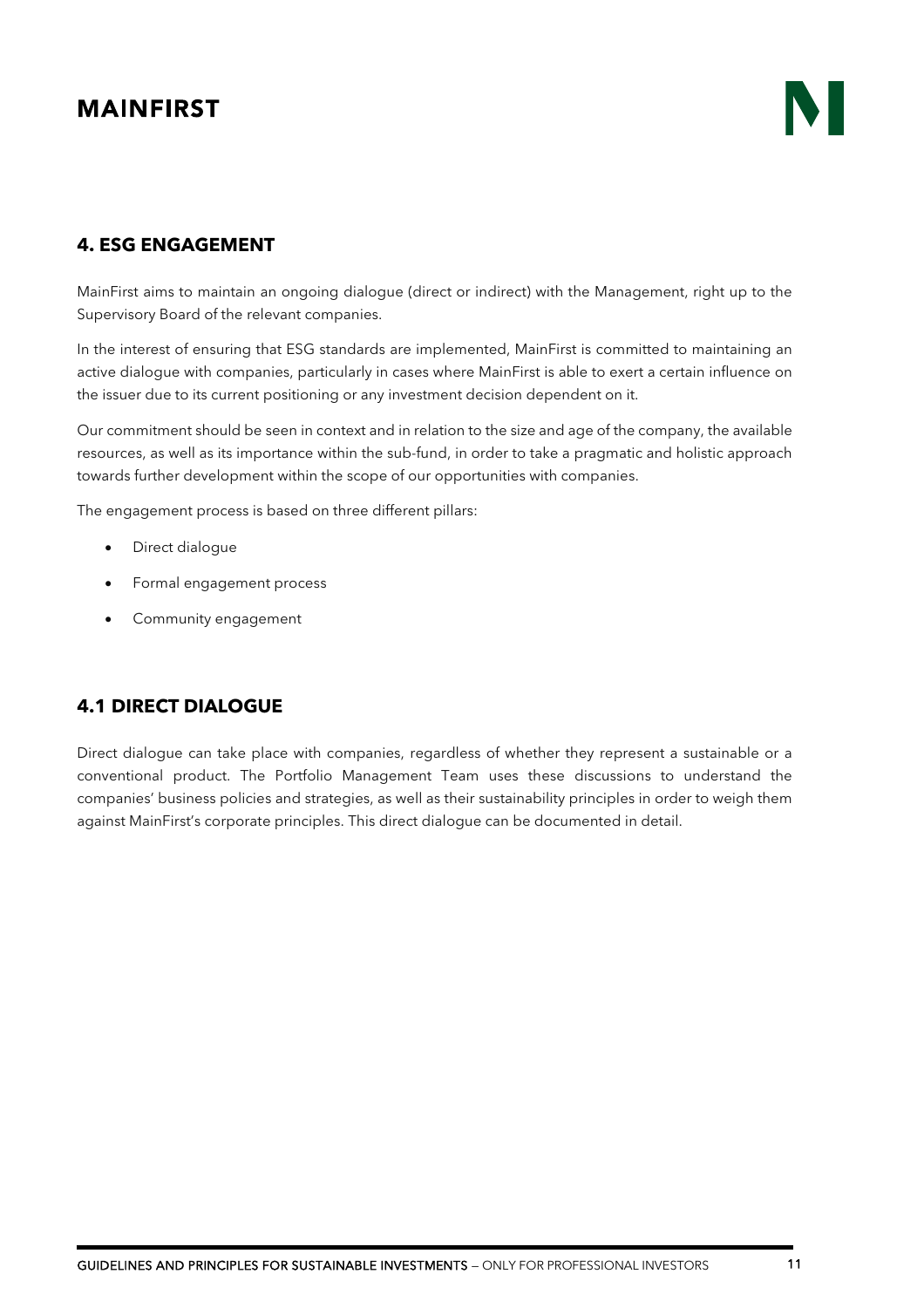## <span id="page-10-0"></span>**4. ESG ENGAGEMENT**

MainFirst aims to maintain an ongoing dialogue (direct or indirect) with the Management, right up to the Supervisory Board of the relevant companies.

In the interest of ensuring that ESG standards are implemented, MainFirst is committed to maintaining an active dialogue with companies, particularly in cases where MainFirst is able to exert a certain influence on the issuer due to its current positioning or any investment decision dependent on it.

Our commitment should be seen in context and in relation to the size and age of the company, the available resources, as well as its importance within the sub-fund, in order to take a pragmatic and holistic approach towards further development within the scope of our opportunities with companies.

The engagement process is based on three different pillars:

- Direct dialogue
- Formal engagement process
- Community engagement

## <span id="page-10-1"></span>**4.1 DIRECT DIALOGUE**

Direct dialogue can take place with companies, regardless of whether they represent a sustainable or a conventional product. The Portfolio Management Team uses these discussions to understand the companies' business policies and strategies, as well as their sustainability principles in order to weigh them against MainFirst's corporate principles. This direct dialogue can be documented in detail.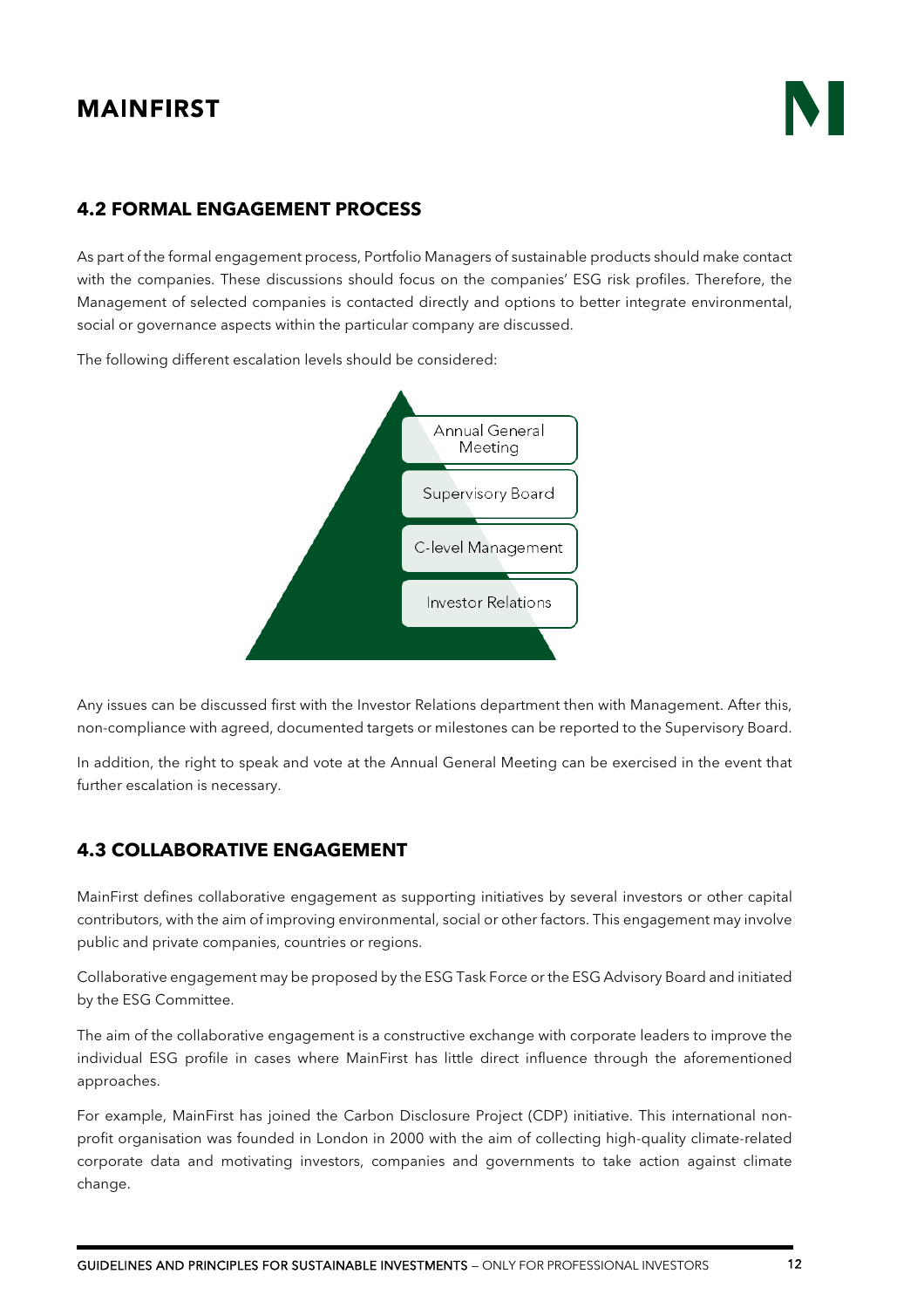#### <span id="page-11-0"></span>**4.2 FORMAL ENGAGEMENT PROCESS**

As part of the formal engagement process, Portfolio Managers of sustainable products should make contact with the companies. These discussions should focus on the companies' ESG risk profiles. Therefore, the Management of selected companies is contacted directly and options to better integrate environmental, social or governance aspects within the particular company are discussed.

The following different escalation levels should be considered:



Any issues can be discussed first with the Investor Relations department then with Management. After this, non-compliance with agreed, documented targets or milestones can be reported to the Supervisory Board.

In addition, the right to speak and vote at the Annual General Meeting can be exercised in the event that further escalation is necessary.

#### <span id="page-11-1"></span>**4.3 COLLABORATIVE ENGAGEMENT**

MainFirst defines collaborative engagement as supporting initiatives by several investors or other capital contributors, with the aim of improving environmental, social or other factors. This engagement may involve public and private companies, countries or regions.

Collaborative engagement may be proposed by the ESG Task Force or the ESG Advisory Board and initiated by the ESG Committee.

The aim of the collaborative engagement is a constructive exchange with corporate leaders to improve the individual ESG profile in cases where MainFirst has little direct influence through the aforementioned approaches.

For example, MainFirst has joined the Carbon Disclosure Project (CDP) initiative. This international nonprofit organisation was founded in London in 2000 with the aim of collecting high-quality climate-related corporate data and motivating investors, companies and governments to take action against climate change.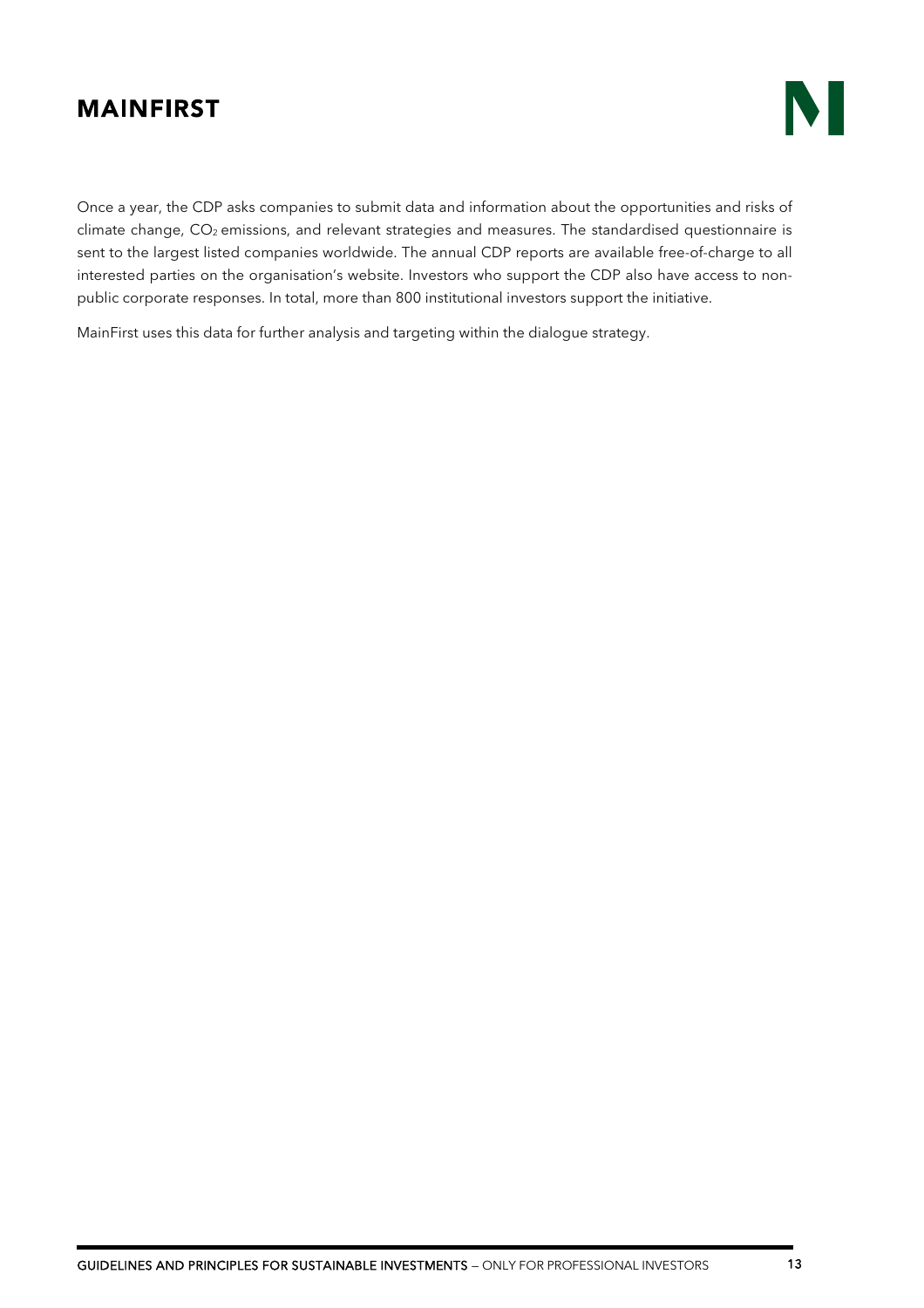

Once a year, the CDP asks companies to submit data and information about the opportunities and risks of climate change, CO<sub>2</sub> emissions, and relevant strategies and measures. The standardised questionnaire is sent to the largest listed companies worldwide. The annual CDP reports are available free-of-charge to all interested parties on the organisation's website. Investors who support the CDP also have access to nonpublic corporate responses. In total, more than 800 institutional investors support the initiative.

MainFirst uses this data for further analysis and targeting within the dialogue strategy.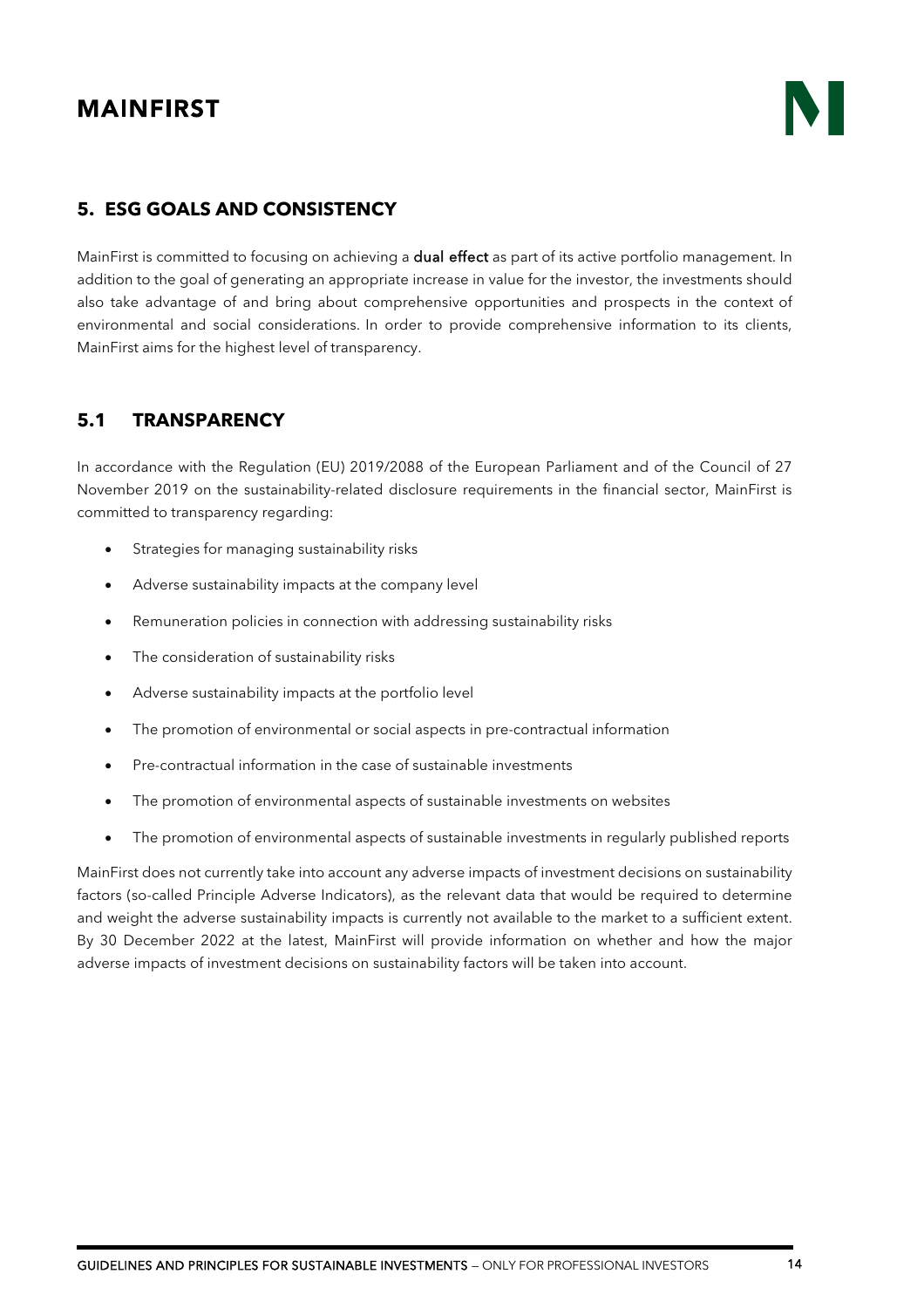### <span id="page-13-0"></span>**5. ESG GOALS AND CONSISTENCY**

MainFirst is committed to focusing on achieving a dual effect as part of its active portfolio management. In addition to the goal of generating an appropriate increase in value for the investor, the investments should also take advantage of and bring about comprehensive opportunities and prospects in the context of environmental and social considerations. In order to provide comprehensive information to its clients, MainFirst aims for the highest level of transparency.

#### <span id="page-13-1"></span>**5.1 TRANSPARENCY**

In accordance with the Regulation (EU) 2019/2088 of the European Parliament and of the Council of 27 November 2019 on the sustainability-related disclosure requirements in the financial sector, MainFirst is committed to transparency regarding:

- Strategies for managing sustainability risks
- Adverse sustainability impacts at the company level
- Remuneration policies in connection with addressing sustainability risks
- The consideration of sustainability risks
- Adverse sustainability impacts at the portfolio level
- The promotion of environmental or social aspects in pre-contractual information
- Pre-contractual information in the case of sustainable investments
- The promotion of environmental aspects of sustainable investments on websites
- The promotion of environmental aspects of sustainable investments in regularly published reports

MainFirst does not currently take into account any adverse impacts of investment decisions on sustainability factors (so-called Principle Adverse Indicators), as the relevant data that would be required to determine and weight the adverse sustainability impacts is currently not available to the market to a sufficient extent. By 30 December 2022 at the latest, MainFirst will provide information on whether and how the major adverse impacts of investment decisions on sustainability factors will be taken into account.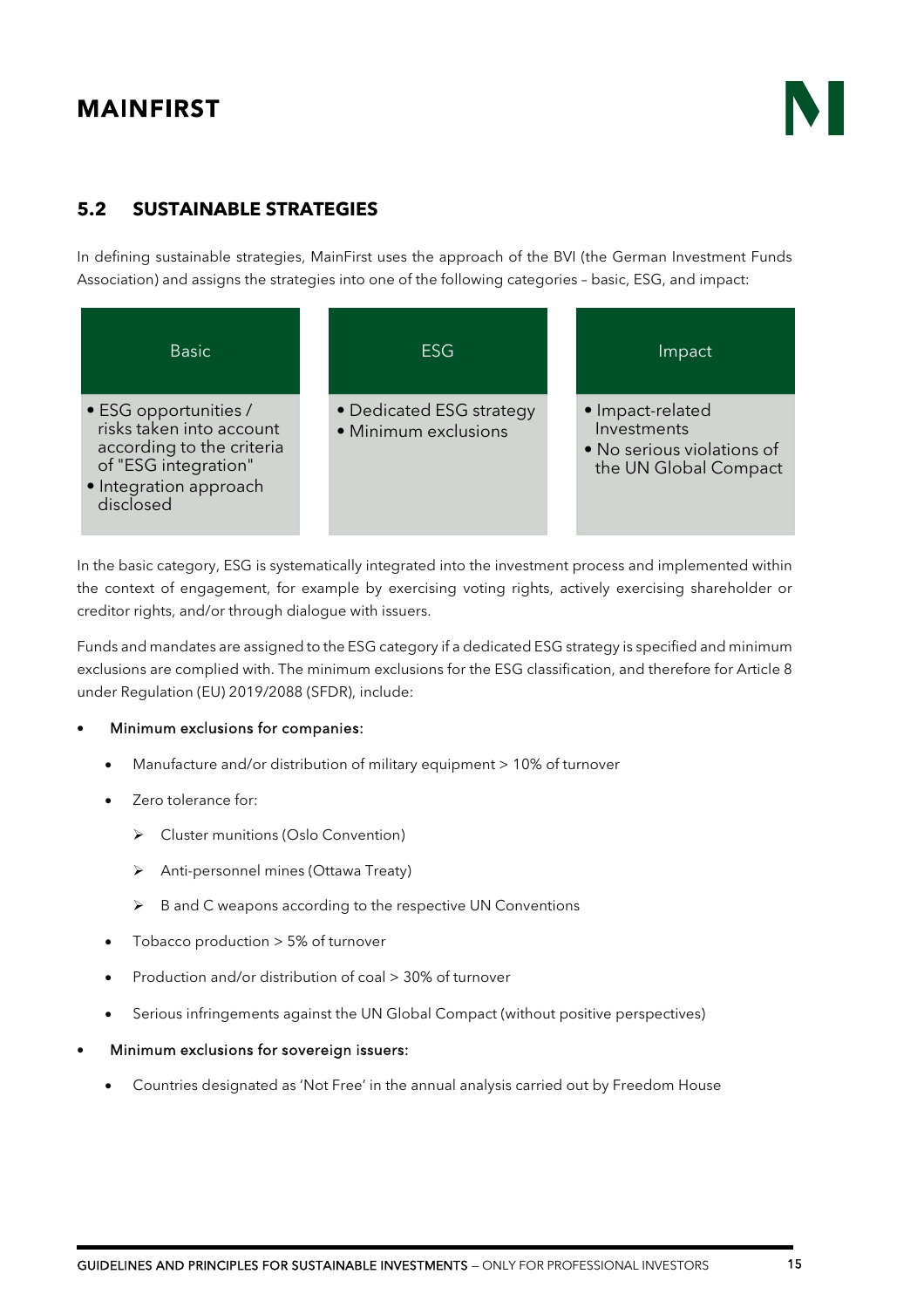### <span id="page-14-0"></span>**5.2 SUSTAINABLE STRATEGIES**

In defining sustainable strategies, MainFirst uses the approach of the BVI (the German Investment Funds Association) and assigns the strategies into one of the following categories – basic, ESG, and impact:

| <b>Basic</b>                                                                                                                                  | <b>ESG</b>                                       | Impact                                                                                 |
|-----------------------------------------------------------------------------------------------------------------------------------------------|--------------------------------------------------|----------------------------------------------------------------------------------------|
| • ESG opportunities /<br>risks taken into account<br>according to the criteria<br>of "ESG integration"<br>• Integration approach<br>disclosed | • Dedicated ESG strategy<br>• Minimum exclusions | • Impact-related<br>Investments<br>• No serious violations of<br>the UN Global Compact |

In the basic category, ESG is systematically integrated into the investment process and implemented within the context of engagement, for example by exercising voting rights, actively exercising shareholder or creditor rights, and/or through dialogue with issuers.

Funds and mandates are assigned to the ESG category if a dedicated ESG strategy is specified and minimum exclusions are complied with. The minimum exclusions for the ESG classification, and therefore for Article 8 under Regulation (EU) 2019/2088 (SFDR), include:

#### • Minimum exclusions for companies:

- Manufacture and/or distribution of military equipment > 10% of turnover
- Zero tolerance for:
	- ▶ Cluster munitions (Oslo Convention)
	- Anti-personnel mines (Ottawa Treaty)
	- $\triangleright$  B and C weapons according to the respective UN Conventions
- Tobacco production > 5% of turnover
- Production and/or distribution of coal > 30% of turnover
- Serious infringements against the UN Global Compact (without positive perspectives)
- Minimum exclusions for sovereign issuers:
	- Countries designated as 'Not Free' in the annual analysis carried out by Freedom House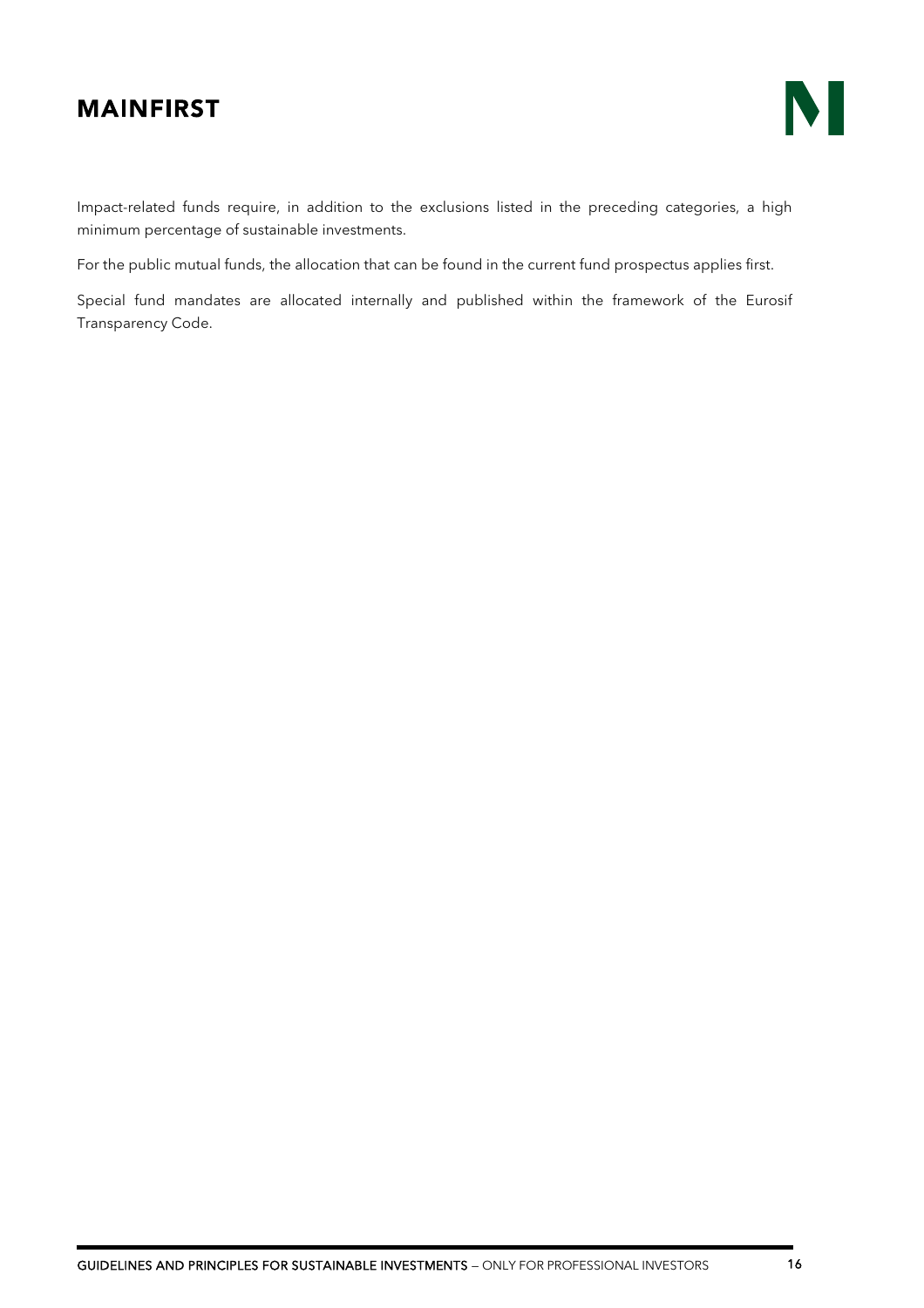

Impact-related funds require, in addition to the exclusions listed in the preceding categories, a high minimum percentage of sustainable investments.

For the public mutual funds, the allocation that can be found in the current fund prospectus applies first.

Special fund mandates are allocated internally and published within the framework of the Eurosif Transparency Code.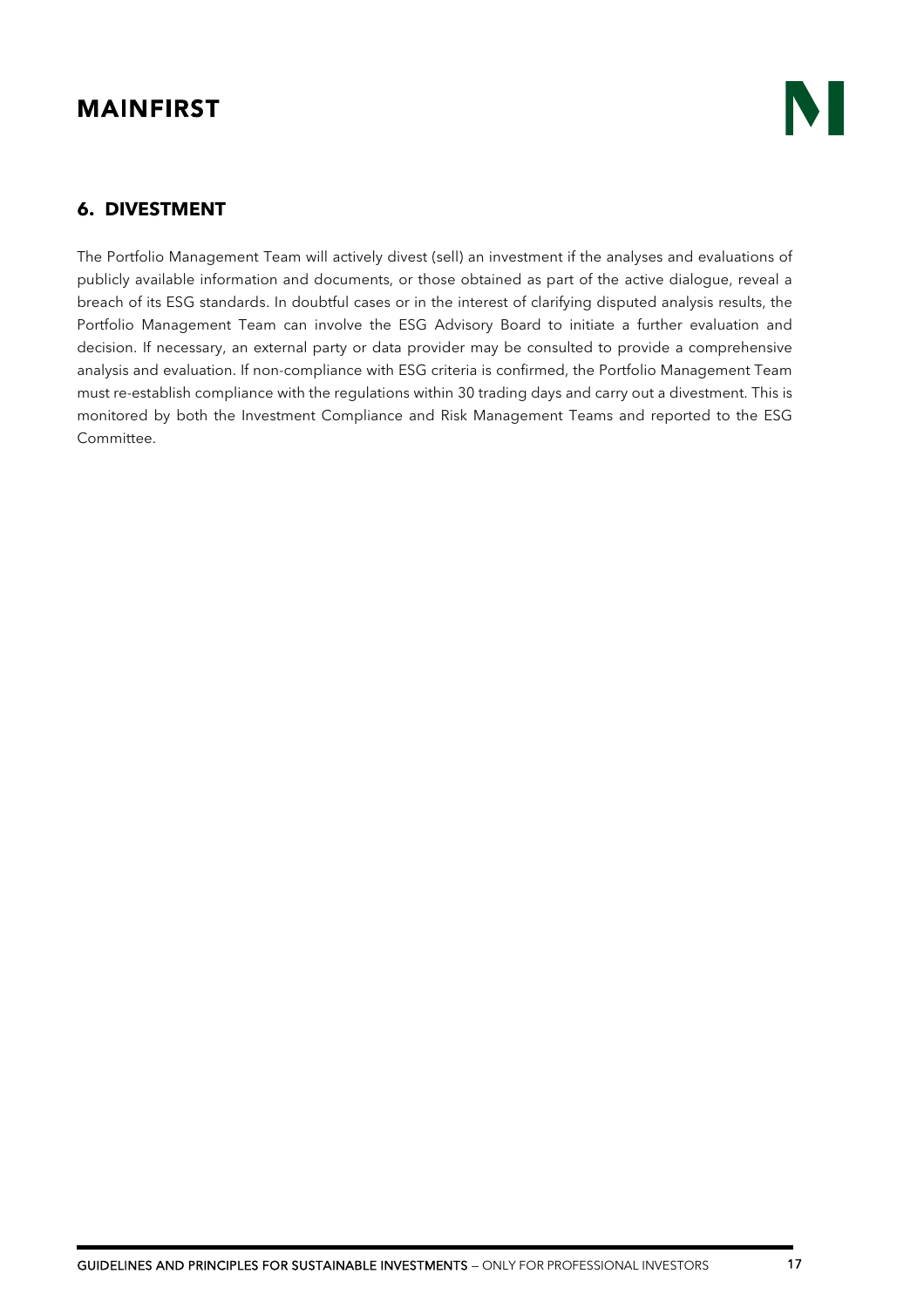#### <span id="page-16-0"></span>**6. DIVESTMENT**

The Portfolio Management Team will actively divest (sell) an investment if the analyses and evaluations of publicly available information and documents, or those obtained as part of the active dialogue, reveal a breach of its ESG standards. In doubtful cases or in the interest of clarifying disputed analysis results, the Portfolio Management Team can involve the ESG Advisory Board to initiate a further evaluation and decision. If necessary, an external party or data provider may be consulted to provide a comprehensive analysis and evaluation. If non-compliance with ESG criteria is confirmed, the Portfolio Management Team must re-establish compliance with the regulations within 30 trading days and carry out a divestment. This is monitored by both the Investment Compliance and Risk Management Teams and reported to the ESG Committee.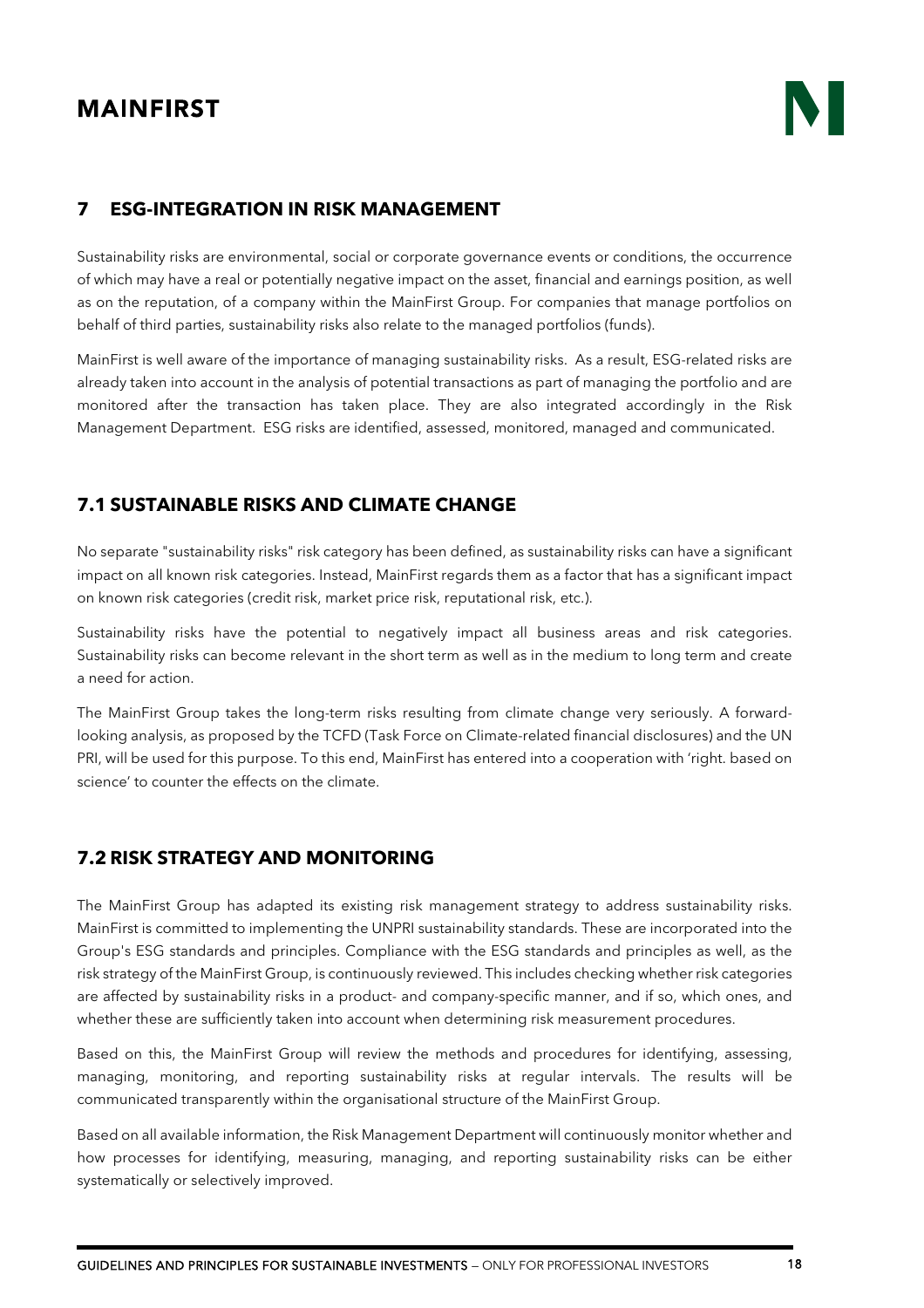#### <span id="page-17-0"></span>**7 ESG-INTEGRATION IN RISK MANAGEMENT**

Sustainability risks are environmental, social or corporate governance events or conditions, the occurrence of which may have a real or potentially negative impact on the asset, financial and earnings position, as well as on the reputation, of a company within the MainFirst Group. For companies that manage portfolios on behalf of third parties, sustainability risks also relate to the managed portfolios (funds).

MainFirst is well aware of the importance of managing sustainability risks. As a result, ESG-related risks are already taken into account in the analysis of potential transactions as part of managing the portfolio and are monitored after the transaction has taken place. They are also integrated accordingly in the Risk Management Department. ESG risks are identified, assessed, monitored, managed and communicated.

### <span id="page-17-1"></span>**7.1 SUSTAINABLE RISKS AND CLIMATE CHANGE**

No separate "sustainability risks" risk category has been defined, as sustainability risks can have a significant impact on all known risk categories. Instead, MainFirst regards them as a factor that has a significant impact on known risk categories (credit risk, market price risk, reputational risk, etc.).

Sustainability risks have the potential to negatively impact all business areas and risk categories. Sustainability risks can become relevant in the short term as well as in the medium to long term and create a need for action.

The MainFirst Group takes the long-term risks resulting from climate change very seriously. A forwardlooking analysis, as proposed by the TCFD (Task Force on Climate-related financial disclosures) and the UN PRI, will be used for this purpose. To this end, MainFirst has entered into a cooperation with 'right. based on science' to counter the effects on the climate.

#### <span id="page-17-2"></span>**7.2 RISK STRATEGY AND MONITORING**

The MainFirst Group has adapted its existing risk management strategy to address sustainability risks. MainFirst is committed to implementing the UNPRI sustainability standards. These are incorporated into the Group's ESG standards and principles. Compliance with the ESG standards and principles as well, as the risk strategy of the MainFirst Group, is continuously reviewed. This includes checking whether risk categories are affected by sustainability risks in a product- and company-specific manner, and if so, which ones, and whether these are sufficiently taken into account when determining risk measurement procedures.

Based on this, the MainFirst Group will review the methods and procedures for identifying, assessing, managing, monitoring, and reporting sustainability risks at regular intervals. The results will be communicated transparently within the organisational structure of the MainFirst Group.

Based on all available information, the Risk Management Department will continuously monitor whether and how processes for identifying, measuring, managing, and reporting sustainability risks can be either systematically or selectively improved.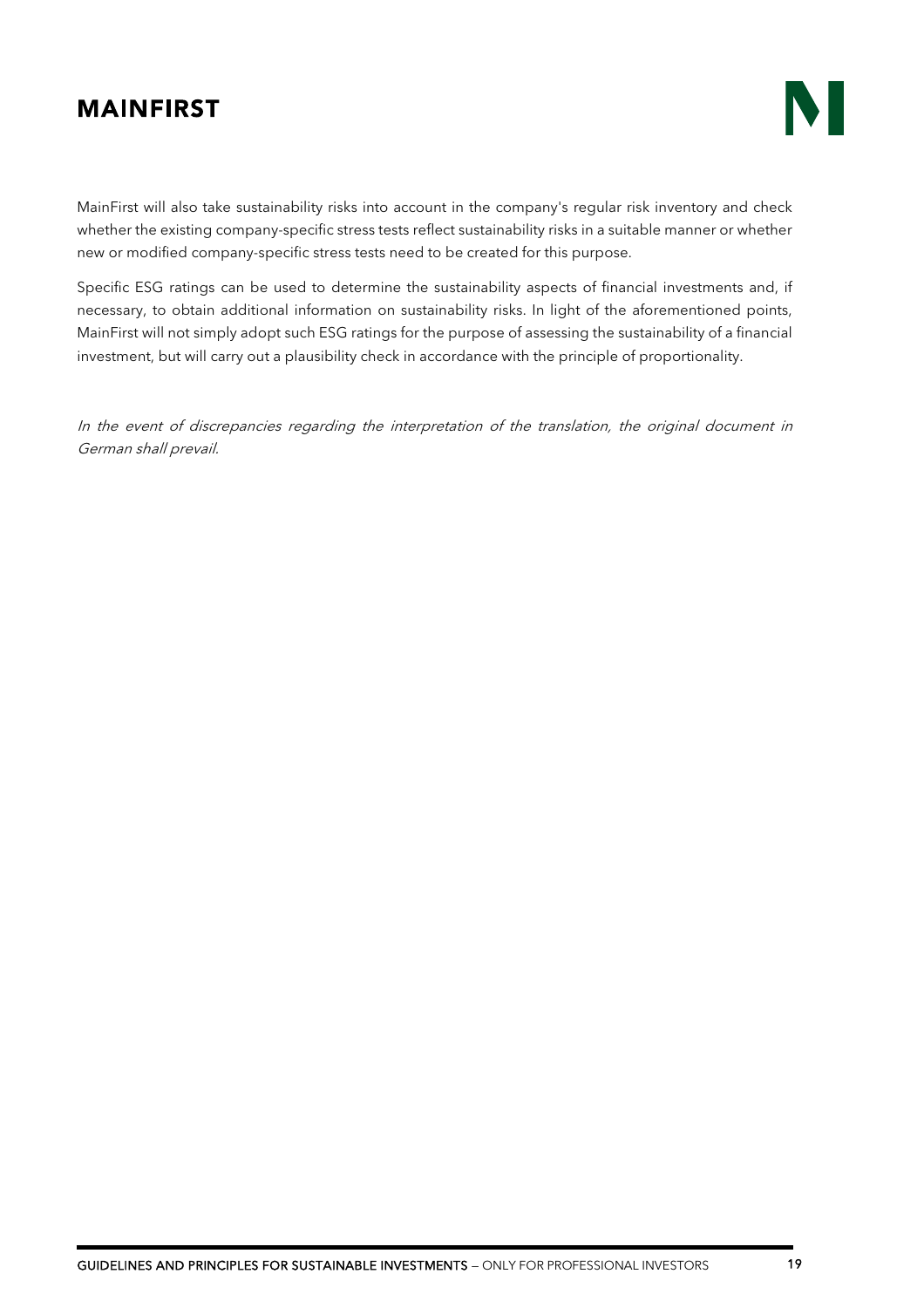MainFirst will also take sustainability risks into account in the company's regular risk inventory and check whether the existing company-specific stress tests reflect sustainability risks in a suitable manner or whether new or modified company-specific stress tests need to be created for this purpose.

Specific ESG ratings can be used to determine the sustainability aspects of financial investments and, if necessary, to obtain additional information on sustainability risks. In light of the aforementioned points, MainFirst will not simply adopt such ESG ratings for the purpose of assessing the sustainability of a financial investment, but will carry out a plausibility check in accordance with the principle of proportionality.

In the event of discrepancies regarding the interpretation of the translation, the original document in German shall prevail.